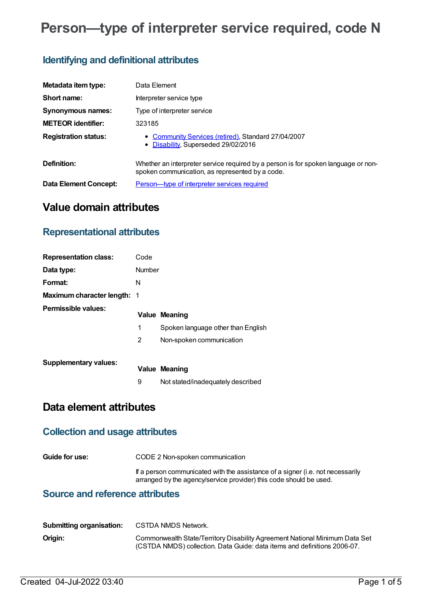# **Person—type of interpreter service required, code N**

## **Identifying and definitional attributes**

| Metadata item type:         | Data Element                                                                                                                          |
|-----------------------------|---------------------------------------------------------------------------------------------------------------------------------------|
| Short name:                 | Interpreter service type                                                                                                              |
| Synonymous names:           | Type of interpreter service                                                                                                           |
| <b>METEOR identifier:</b>   | 323185                                                                                                                                |
| <b>Registration status:</b> | • Community Services (retired), Standard 27/04/2007<br>• Disability, Superseded 29/02/2016                                            |
| Definition:                 | Whether an interpreter service required by a person is for spoken language or non-<br>spoken communication, as represented by a code. |
| Data Element Concept:       | Person-type of interpreter services required                                                                                          |

# **Value domain attributes**

### **Representational attributes**

| <b>Representation class:</b>       | Code          |                                    |
|------------------------------------|---------------|------------------------------------|
| Data type:                         | <b>Number</b> |                                    |
| Format:                            | N             |                                    |
| <b>Maximum character length: 1</b> |               |                                    |
| Permissible values:                |               | <b>Value Meaning</b>               |
|                                    | 1             | Spoken language other than English |
|                                    | 2             | Non-spoken communication           |
| <b>Supplementary values:</b>       |               | <b>Value Meaning</b>               |
|                                    | 9             | Not stated/inadequately described  |

# **Data element attributes**

### **Collection and usage attributes**

**Guide for use:** CODE 2 Non-spoken communication

If a person communicated with the assistance of a signer (i.e. not necessarily arranged by the agency/service provider) this code should be used.

### **Source and reference attributes**

| <b>Submitting organisation:</b> | CSTDA NMDS Network.                                                                                                                                     |
|---------------------------------|---------------------------------------------------------------------------------------------------------------------------------------------------------|
| Origin:                         | Commonwealth State/Territory Disability Agreement National Minimum Data Set<br>(CSTDA NMDS) collection. Data Guide: data items and definitions 2006-07. |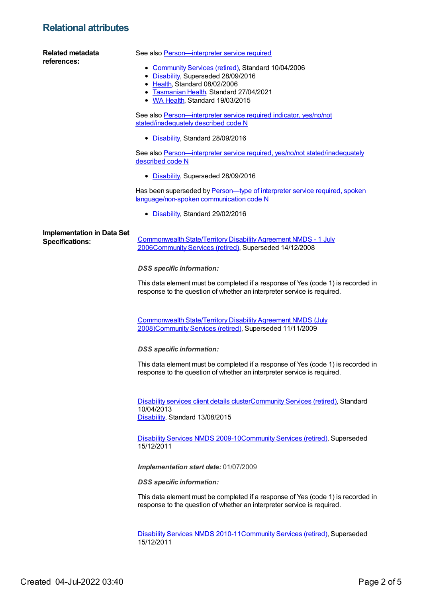### **Relational attributes**

| Related metadata<br>references:   | See also Person-interpreter service required                                                                                                                           |
|-----------------------------------|------------------------------------------------------------------------------------------------------------------------------------------------------------------------|
|                                   | • Community Services (retired), Standard 10/04/2006<br>• Disability, Superseded 28/09/2016<br>• Health, Standard 08/02/2006<br>• Tasmanian Health, Standard 27/04/2021 |
|                                   | • WA Health, Standard 19/03/2015                                                                                                                                       |
|                                   | See also Person-interpreter service required indicator, yes/no/not<br>stated/inadequately described code N                                                             |
|                                   | • Disability, Standard 28/09/2016                                                                                                                                      |
|                                   | See also Person-interpreter service required, yes/no/not stated/inadequately<br>described code N                                                                       |
|                                   | • Disability, Superseded 28/09/2016                                                                                                                                    |
|                                   | Has been superseded by Person-type of interpreter service required, spoken<br>language/non-spoken communication code N                                                 |
|                                   | • Disability, Standard 29/02/2016                                                                                                                                      |
| <b>Implementation in Data Set</b> |                                                                                                                                                                        |
| <b>Specifications:</b>            | Commonwealth State/Territory Disability Agreement NMDS - 1 July<br>2006Community Services (retired), Superseded 14/12/2008                                             |
|                                   | <b>DSS</b> specific information:                                                                                                                                       |
|                                   | This data element must be completed if a response of Yes (code 1) is recorded in<br>response to the question of whether an interpreter service is required.            |
|                                   |                                                                                                                                                                        |
|                                   | <b>Commonwealth State/Territory Disability Agreement NMDS (July</b><br>2008)Community Services (retired), Superseded 11/11/2009                                        |
|                                   | <b>DSS</b> specific information:                                                                                                                                       |
|                                   | This data element must be completed if a response of Yes (code 1) is recorded in<br>response to the question of whether an interpreter service is required.            |
|                                   | Disability services client details clusterCommunity Services (retired), Standard<br>10/04/2013<br>Disability, Standard 13/08/2015                                      |
|                                   | Disability Services NMDS 2009-10Community Services (retired), Superseded<br>15/12/2011                                                                                 |
|                                   | Implementation start date: 01/07/2009                                                                                                                                  |
|                                   | <b>DSS</b> specific information:                                                                                                                                       |
|                                   | This data element must be completed if a response of Yes (code 1) is recorded in<br>response to the question of whether an interpreter service is required.            |
|                                   | Disability Services NMDS 2010-11 Community Services (retired), Superseded<br>15/12/2011                                                                                |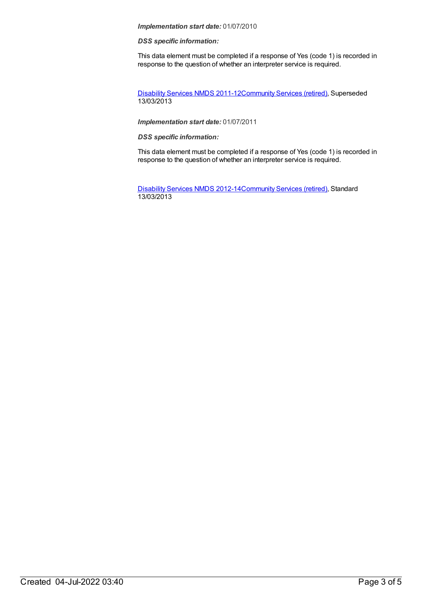#### *Implementation start date:* 01/07/2010

#### *DSS specific information:*

This data element must be completed if a response of Yes (code 1) is recorded in response to the question of whether an interpreter service is required.

[Disability](https://meteor.aihw.gov.au/content/461636) Services NMDS 2011-12[Community](https://meteor.aihw.gov.au/RegistrationAuthority/1) Services (retired), Superseded 13/03/2013

#### *Implementation start date:* 01/07/2011

*DSS specific information:*

This data element must be completed if a response of Yes (code 1) is recorded in response to the question of whether an interpreter service is required.

[Disability](https://meteor.aihw.gov.au/content/461640) Services NMDS 2012-14[Community](https://meteor.aihw.gov.au/RegistrationAuthority/1) Services (retired), Standard 13/03/2013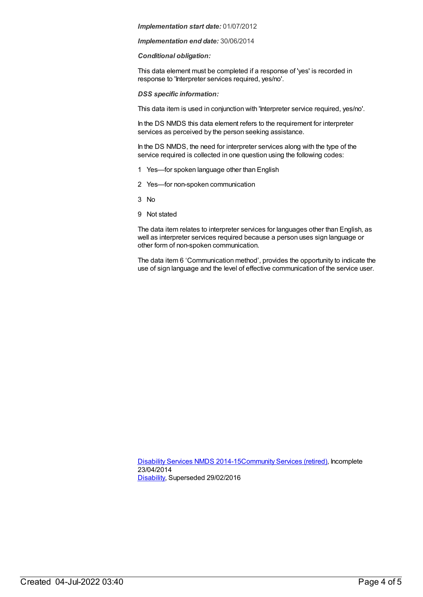#### *Implementation start date:* 01/07/2012

*Implementation end date:* 30/06/2014

#### *Conditional obligation:*

This data element must be completed if a response of 'yes' is recorded in response to 'Interpreter services required, yes/no'.

*DSS specific information:*

This data item is used in conjunction with 'Interpreter service required, yes/no'.

In the DS NMDS this data element refers to the requirement for interpreter services as perceived by the person seeking assistance.

In the DS NMDS, the need for interpreter services along with the type of the service required is collected in one question using the following codes:

- 1 Yes—for spoken language other than English
- 2 Yes—for non-spoken communication
- 3 No
- 9 Not stated

The data item relates to interpreter services for languages other than English, as well as interpreter services required because a person uses sign language or other form of non-spoken communication.

The data item 6 'Communication method', provides the opportunity to indicate the use of sign language and the level of effective communication of the service user.

[Disability](https://meteor.aihw.gov.au/content/569749) Services NMDS 2014-15[Community](https://meteor.aihw.gov.au/RegistrationAuthority/1) Services (retired), Incomplete 23/04/2014 [Disability](https://meteor.aihw.gov.au/RegistrationAuthority/16), Superseded 29/02/2016